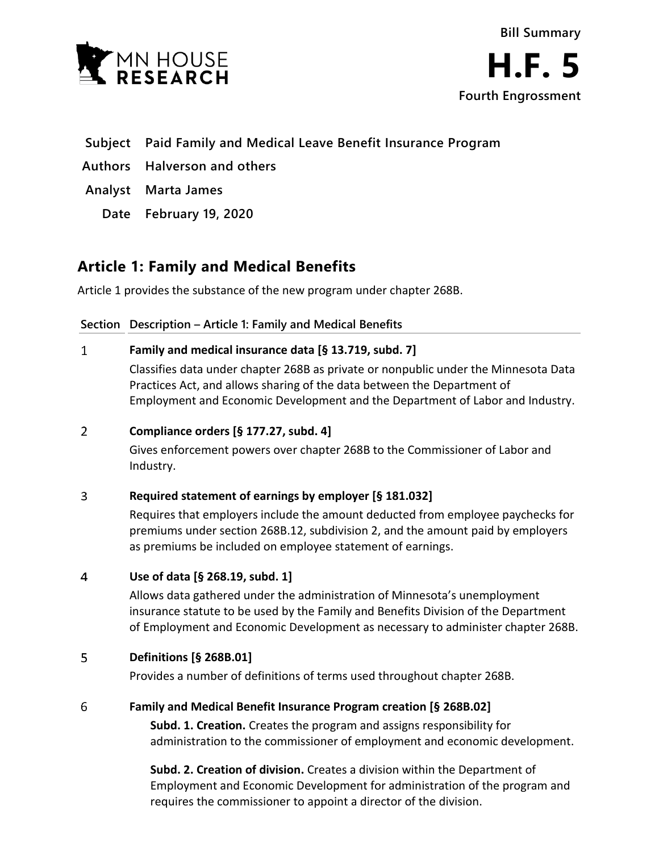



- **Subject Paid Family and Medical Leave Benefit Insurance Program**
- **Authors Halverson and others**
- **Analyst Marta James**
	- **Date February 19, 2020**

## **Article 1: Family and Medical Benefits**

Article 1 provides the substance of the new program under chapter 268B.

### **Section Description – Article 1: Family and Medical Benefits**

#### $\mathbf{1}$ **Family and medical insurance data [§ 13.719, subd. 7]**

Classifies data under chapter 268B as private or nonpublic under the Minnesota Data Practices Act, and allows sharing of the data between the Department of Employment and Economic Development and the Department of Labor and Industry.

#### $\overline{2}$ **Compliance orders [§ 177.27, subd. 4]**

Gives enforcement powers over chapter 268B to the Commissioner of Labor and Industry.

#### 3 **Required statement of earnings by employer [§ 181.032]**

Requires that employers include the amount deducted from employee paychecks for premiums under section 268B.12, subdivision 2, and the amount paid by employers as premiums be included on employee statement of earnings.

#### $\overline{4}$ **Use of data [§ 268.19, subd. 1]**

Allows data gathered under the administration of Minnesota's unemployment insurance statute to be used by the Family and Benefits Division of the Department of Employment and Economic Development as necessary to administer chapter 268B.

#### 5 **Definitions [§ 268B.01]**

Provides a number of definitions of terms used throughout chapter 268B.

#### 6 **Family and Medical Benefit Insurance Program creation [§ 268B.02]**

**Subd. 1. Creation.** Creates the program and assigns responsibility for administration to the commissioner of employment and economic development.

**Subd. 2. Creation of division.** Creates a division within the Department of Employment and Economic Development for administration of the program and requires the commissioner to appoint a director of the division.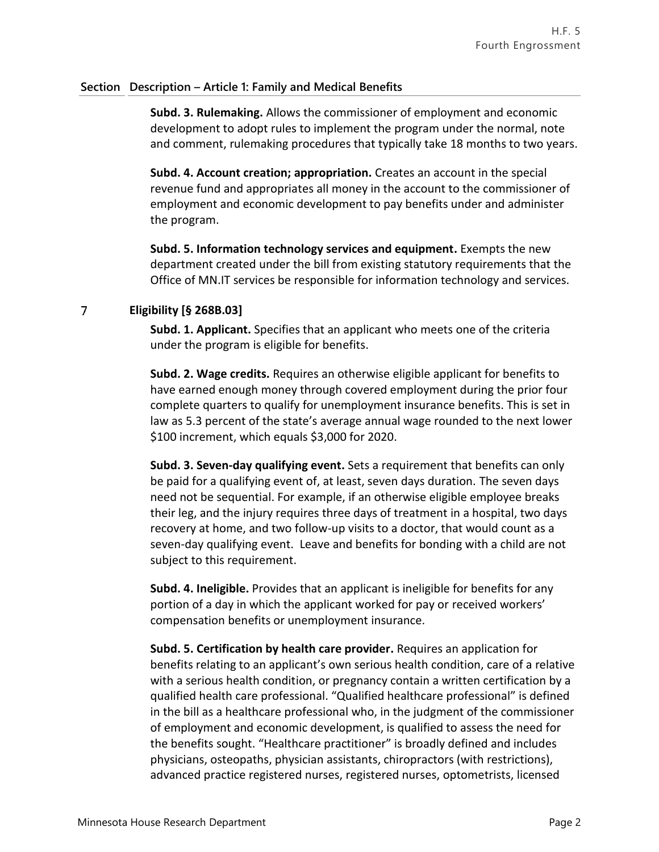**Subd. 3. Rulemaking.** Allows the commissioner of employment and economic development to adopt rules to implement the program under the normal, note and comment, rulemaking procedures that typically take 18 months to two years.

**Subd. 4. Account creation; appropriation.** Creates an account in the special revenue fund and appropriates all money in the account to the commissioner of employment and economic development to pay benefits under and administer the program.

**Subd. 5. Information technology services and equipment.** Exempts the new department created under the bill from existing statutory requirements that the Office of MN.IT services be responsible for information technology and services.

#### $\overline{7}$ **Eligibility [§ 268B.03]**

**Subd. 1. Applicant.** Specifies that an applicant who meets one of the criteria under the program is eligible for benefits.

**Subd. 2. Wage credits.** Requires an otherwise eligible applicant for benefits to have earned enough money through covered employment during the prior four complete quarters to qualify for unemployment insurance benefits. This is set in law as 5.3 percent of the state's average annual wage rounded to the next lower \$100 increment, which equals \$3,000 for 2020.

**Subd. 3. Seven-day qualifying event.** Sets a requirement that benefits can only be paid for a qualifying event of, at least, seven days duration. The seven days need not be sequential. For example, if an otherwise eligible employee breaks their leg, and the injury requires three days of treatment in a hospital, two days recovery at home, and two follow-up visits to a doctor, that would count as a seven-day qualifying event. Leave and benefits for bonding with a child are not subject to this requirement.

**Subd. 4. Ineligible.** Provides that an applicant is ineligible for benefits for any portion of a day in which the applicant worked for pay or received workers' compensation benefits or unemployment insurance.

**Subd. 5. Certification by health care provider.** Requires an application for benefits relating to an applicant's own serious health condition, care of a relative with a serious health condition, or pregnancy contain a written certification by a qualified health care professional. "Qualified healthcare professional" is defined in the bill as a healthcare professional who, in the judgment of the commissioner of employment and economic development, is qualified to assess the need for the benefits sought. "Healthcare practitioner" is broadly defined and includes physicians, osteopaths, physician assistants, chiropractors (with restrictions), advanced practice registered nurses, registered nurses, optometrists, licensed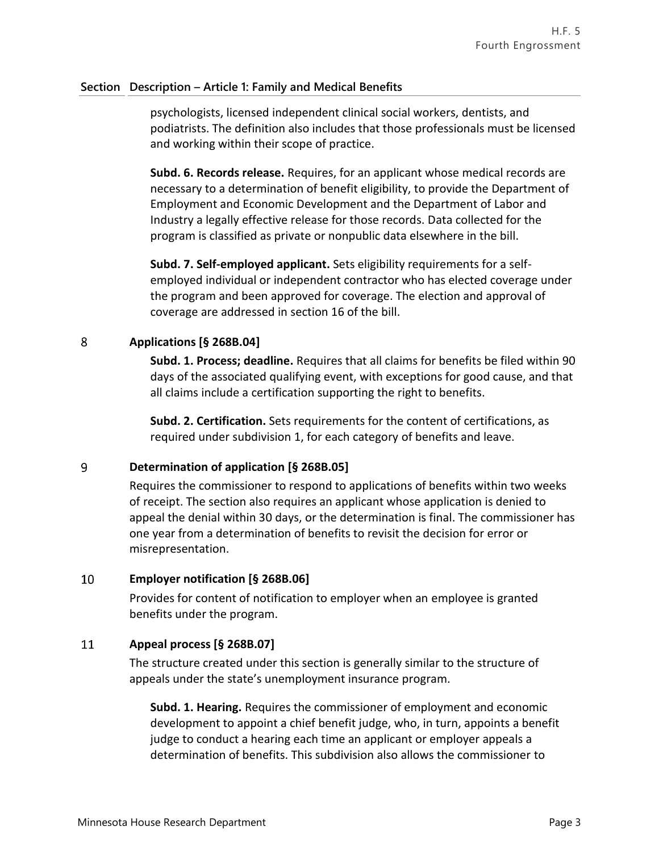psychologists, licensed independent clinical social workers, dentists, and podiatrists. The definition also includes that those professionals must be licensed and working within their scope of practice.

**Subd. 6. Records release.** Requires, for an applicant whose medical records are necessary to a determination of benefit eligibility, to provide the Department of Employment and Economic Development and the Department of Labor and Industry a legally effective release for those records. Data collected for the program is classified as private or nonpublic data elsewhere in the bill.

**Subd. 7. Self-employed applicant.** Sets eligibility requirements for a selfemployed individual or independent contractor who has elected coverage under the program and been approved for coverage. The election and approval of coverage are addressed in section 16 of the bill.

#### 8 **Applications [§ 268B.04]**

**Subd. 1. Process; deadline.** Requires that all claims for benefits be filed within 90 days of the associated qualifying event, with exceptions for good cause, and that all claims include a certification supporting the right to benefits.

**Subd. 2. Certification.** Sets requirements for the content of certifications, as required under subdivision 1, for each category of benefits and leave.

#### 9 **Determination of application [§ 268B.05]**

Requires the commissioner to respond to applications of benefits within two weeks of receipt. The section also requires an applicant whose application is denied to appeal the denial within 30 days, or the determination is final. The commissioner has one year from a determination of benefits to revisit the decision for error or misrepresentation.

#### 10 **Employer notification [§ 268B.06]**

Provides for content of notification to employer when an employee is granted benefits under the program.

#### 11 **Appeal process [§ 268B.07]**

The structure created under this section is generally similar to the structure of appeals under the state's unemployment insurance program.

**Subd. 1. Hearing.** Requires the commissioner of employment and economic development to appoint a chief benefit judge, who, in turn, appoints a benefit judge to conduct a hearing each time an applicant or employer appeals a determination of benefits. This subdivision also allows the commissioner to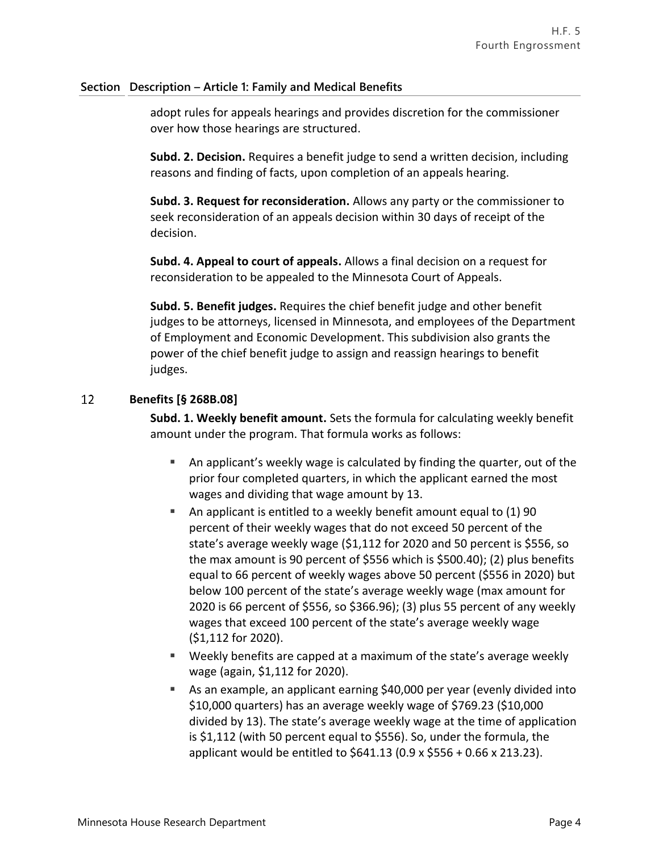adopt rules for appeals hearings and provides discretion for the commissioner over how those hearings are structured.

**Subd. 2. Decision.** Requires a benefit judge to send a written decision, including reasons and finding of facts, upon completion of an appeals hearing.

**Subd. 3. Request for reconsideration.** Allows any party or the commissioner to seek reconsideration of an appeals decision within 30 days of receipt of the decision.

**Subd. 4. Appeal to court of appeals.** Allows a final decision on a request for reconsideration to be appealed to the Minnesota Court of Appeals.

**Subd. 5. Benefit judges.** Requires the chief benefit judge and other benefit judges to be attorneys, licensed in Minnesota, and employees of the Department of Employment and Economic Development. This subdivision also grants the power of the chief benefit judge to assign and reassign hearings to benefit judges.

#### 12 **Benefits [§ 268B.08]**

**Subd. 1. Weekly benefit amount.** Sets the formula for calculating weekly benefit amount under the program. That formula works as follows:

- An applicant's weekly wage is calculated by finding the quarter, out of the prior four completed quarters, in which the applicant earned the most wages and dividing that wage amount by 13.
- An applicant is entitled to a weekly benefit amount equal to  $(1)$  90 percent of their weekly wages that do not exceed 50 percent of the state's average weekly wage (\$1,112 for 2020 and 50 percent is \$556, so the max amount is 90 percent of \$556 which is \$500.40); (2) plus benefits equal to 66 percent of weekly wages above 50 percent (\$556 in 2020) but below 100 percent of the state's average weekly wage (max amount for 2020 is 66 percent of \$556, so \$366.96); (3) plus 55 percent of any weekly wages that exceed 100 percent of the state's average weekly wage (\$1,112 for 2020).
- Weekly benefits are capped at a maximum of the state's average weekly wage (again, \$1,112 for 2020).
- As an example, an applicant earning \$40,000 per year (evenly divided into \$10,000 quarters) has an average weekly wage of \$769.23 (\$10,000 divided by 13). The state's average weekly wage at the time of application is \$1,112 (with 50 percent equal to \$556). So, under the formula, the applicant would be entitled to \$641.13 (0.9 x \$556 + 0.66 x 213.23).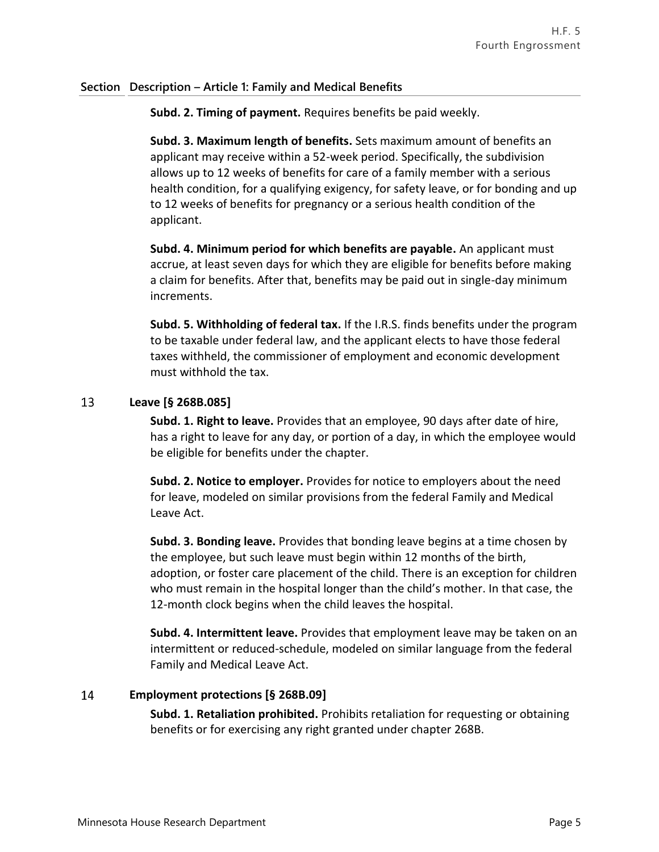**Subd. 2. Timing of payment.** Requires benefits be paid weekly.

**Subd. 3. Maximum length of benefits.** Sets maximum amount of benefits an applicant may receive within a 52-week period. Specifically, the subdivision allows up to 12 weeks of benefits for care of a family member with a serious health condition, for a qualifying exigency, for safety leave, or for bonding and up to 12 weeks of benefits for pregnancy or a serious health condition of the applicant.

**Subd. 4. Minimum period for which benefits are payable.** An applicant must accrue, at least seven days for which they are eligible for benefits before making a claim for benefits. After that, benefits may be paid out in single-day minimum increments.

**Subd. 5. Withholding of federal tax.** If the I.R.S. finds benefits under the program to be taxable under federal law, and the applicant elects to have those federal taxes withheld, the commissioner of employment and economic development must withhold the tax.

#### 13 **Leave [§ 268B.085]**

**Subd. 1. Right to leave.** Provides that an employee, 90 days after date of hire, has a right to leave for any day, or portion of a day, in which the employee would be eligible for benefits under the chapter.

**Subd. 2. Notice to employer.** Provides for notice to employers about the need for leave, modeled on similar provisions from the federal Family and Medical Leave Act.

**Subd. 3. Bonding leave.** Provides that bonding leave begins at a time chosen by the employee, but such leave must begin within 12 months of the birth, adoption, or foster care placement of the child. There is an exception for children who must remain in the hospital longer than the child's mother. In that case, the 12-month clock begins when the child leaves the hospital.

**Subd. 4. Intermittent leave.** Provides that employment leave may be taken on an intermittent or reduced-schedule, modeled on similar language from the federal Family and Medical Leave Act.

#### 14 **Employment protections [§ 268B.09]**

**Subd. 1. Retaliation prohibited.** Prohibits retaliation for requesting or obtaining benefits or for exercising any right granted under chapter 268B.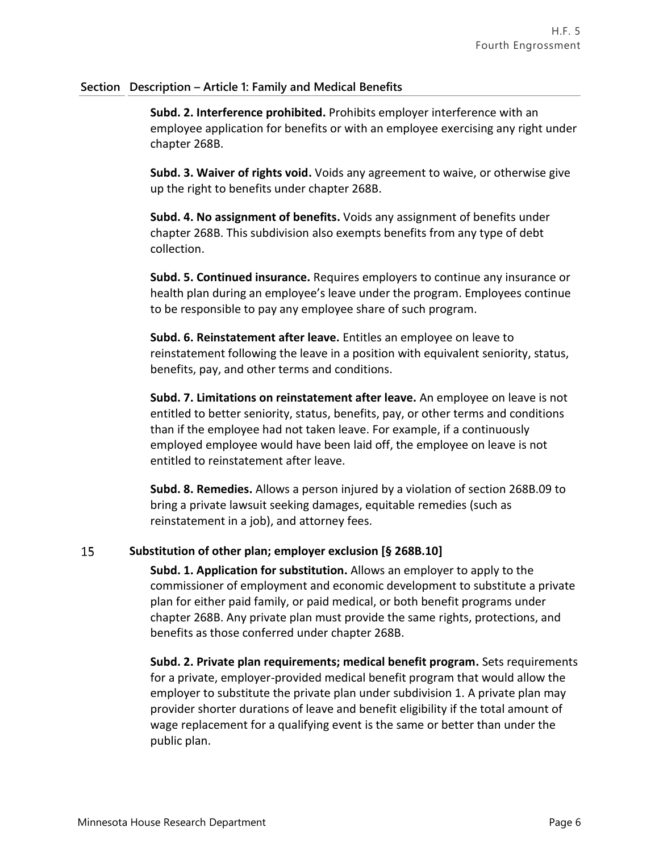**Subd. 2. Interference prohibited.** Prohibits employer interference with an employee application for benefits or with an employee exercising any right under chapter 268B.

**Subd. 3. Waiver of rights void.** Voids any agreement to waive, or otherwise give up the right to benefits under chapter 268B.

**Subd. 4. No assignment of benefits.** Voids any assignment of benefits under chapter 268B. This subdivision also exempts benefits from any type of debt collection.

**Subd. 5. Continued insurance.** Requires employers to continue any insurance or health plan during an employee's leave under the program. Employees continue to be responsible to pay any employee share of such program.

**Subd. 6. Reinstatement after leave.** Entitles an employee on leave to reinstatement following the leave in a position with equivalent seniority, status, benefits, pay, and other terms and conditions.

**Subd. 7. Limitations on reinstatement after leave.** An employee on leave is not entitled to better seniority, status, benefits, pay, or other terms and conditions than if the employee had not taken leave. For example, if a continuously employed employee would have been laid off, the employee on leave is not entitled to reinstatement after leave.

**Subd. 8. Remedies.** Allows a person injured by a violation of section 268B.09 to bring a private lawsuit seeking damages, equitable remedies (such as reinstatement in a job), and attorney fees.

#### 15 **Substitution of other plan; employer exclusion [§ 268B.10]**

**Subd. 1. Application for substitution.** Allows an employer to apply to the commissioner of employment and economic development to substitute a private plan for either paid family, or paid medical, or both benefit programs under chapter 268B. Any private plan must provide the same rights, protections, and benefits as those conferred under chapter 268B.

**Subd. 2. Private plan requirements; medical benefit program.** Sets requirements for a private, employer-provided medical benefit program that would allow the employer to substitute the private plan under subdivision 1. A private plan may provider shorter durations of leave and benefit eligibility if the total amount of wage replacement for a qualifying event is the same or better than under the public plan.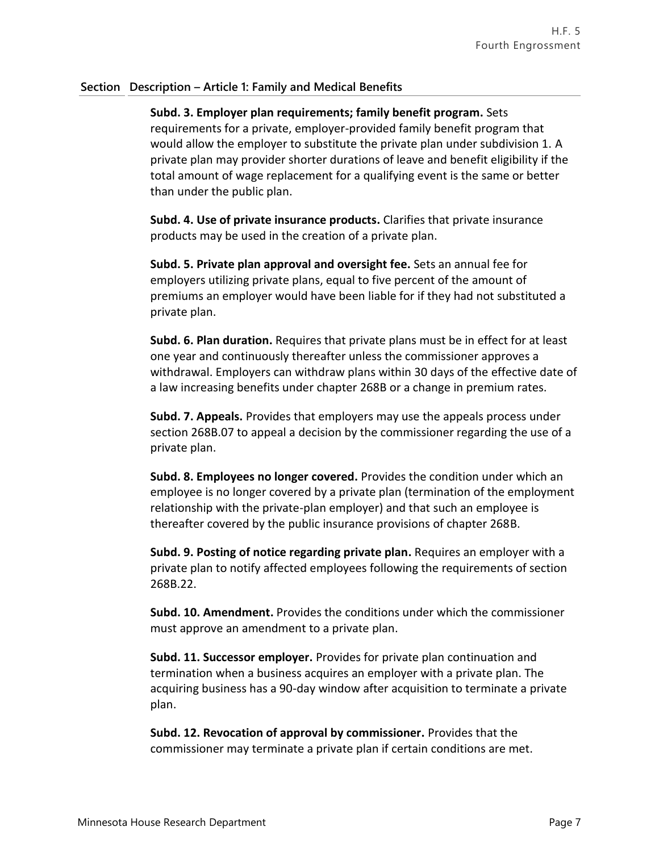**Subd. 3. Employer plan requirements; family benefit program.** Sets requirements for a private, employer-provided family benefit program that would allow the employer to substitute the private plan under subdivision 1. A private plan may provider shorter durations of leave and benefit eligibility if the total amount of wage replacement for a qualifying event is the same or better than under the public plan.

**Subd. 4. Use of private insurance products.** Clarifies that private insurance products may be used in the creation of a private plan.

**Subd. 5. Private plan approval and oversight fee.** Sets an annual fee for employers utilizing private plans, equal to five percent of the amount of premiums an employer would have been liable for if they had not substituted a private plan.

**Subd. 6. Plan duration.** Requires that private plans must be in effect for at least one year and continuously thereafter unless the commissioner approves a withdrawal. Employers can withdraw plans within 30 days of the effective date of a law increasing benefits under chapter 268B or a change in premium rates.

**Subd. 7. Appeals.** Provides that employers may use the appeals process under section 268B.07 to appeal a decision by the commissioner regarding the use of a private plan.

**Subd. 8. Employees no longer covered.** Provides the condition under which an employee is no longer covered by a private plan (termination of the employment relationship with the private-plan employer) and that such an employee is thereafter covered by the public insurance provisions of chapter 268B.

**Subd. 9. Posting of notice regarding private plan.** Requires an employer with a private plan to notify affected employees following the requirements of section 268B.22.

**Subd. 10. Amendment.** Provides the conditions under which the commissioner must approve an amendment to a private plan.

**Subd. 11. Successor employer.** Provides for private plan continuation and termination when a business acquires an employer with a private plan. The acquiring business has a 90-day window after acquisition to terminate a private plan.

**Subd. 12. Revocation of approval by commissioner.** Provides that the commissioner may terminate a private plan if certain conditions are met.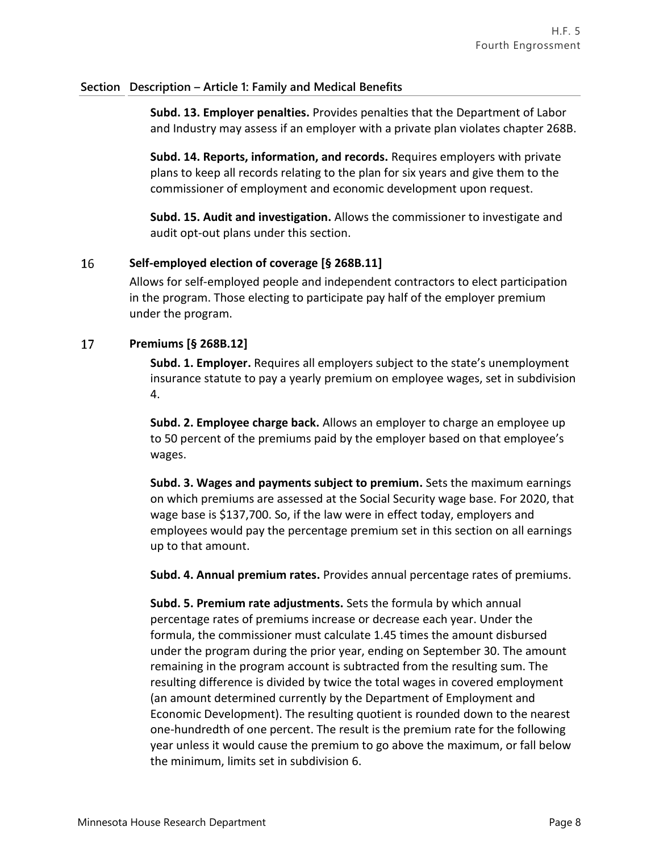**Subd. 13. Employer penalties.** Provides penalties that the Department of Labor and Industry may assess if an employer with a private plan violates chapter 268B.

**Subd. 14. Reports, information, and records.** Requires employers with private plans to keep all records relating to the plan for six years and give them to the commissioner of employment and economic development upon request.

**Subd. 15. Audit and investigation.** Allows the commissioner to investigate and audit opt-out plans under this section.

#### 16 **Self-employed election of coverage [§ 268B.11]**

Allows for self-employed people and independent contractors to elect participation in the program. Those electing to participate pay half of the employer premium under the program.

#### 17 **Premiums [§ 268B.12]**

**Subd. 1. Employer.** Requires all employers subject to the state's unemployment insurance statute to pay a yearly premium on employee wages, set in subdivision 4.

**Subd. 2. Employee charge back.** Allows an employer to charge an employee up to 50 percent of the premiums paid by the employer based on that employee's wages.

**Subd. 3. Wages and payments subject to premium.** Sets the maximum earnings on which premiums are assessed at the Social Security wage base. For 2020, that wage base is \$137,700. So, if the law were in effect today, employers and employees would pay the percentage premium set in this section on all earnings up to that amount.

**Subd. 4. Annual premium rates.** Provides annual percentage rates of premiums.

**Subd. 5. Premium rate adjustments.** Sets the formula by which annual percentage rates of premiums increase or decrease each year. Under the formula, the commissioner must calculate 1.45 times the amount disbursed under the program during the prior year, ending on September 30. The amount remaining in the program account is subtracted from the resulting sum. The resulting difference is divided by twice the total wages in covered employment (an amount determined currently by the Department of Employment and Economic Development). The resulting quotient is rounded down to the nearest one-hundredth of one percent. The result is the premium rate for the following year unless it would cause the premium to go above the maximum, or fall below the minimum, limits set in subdivision 6.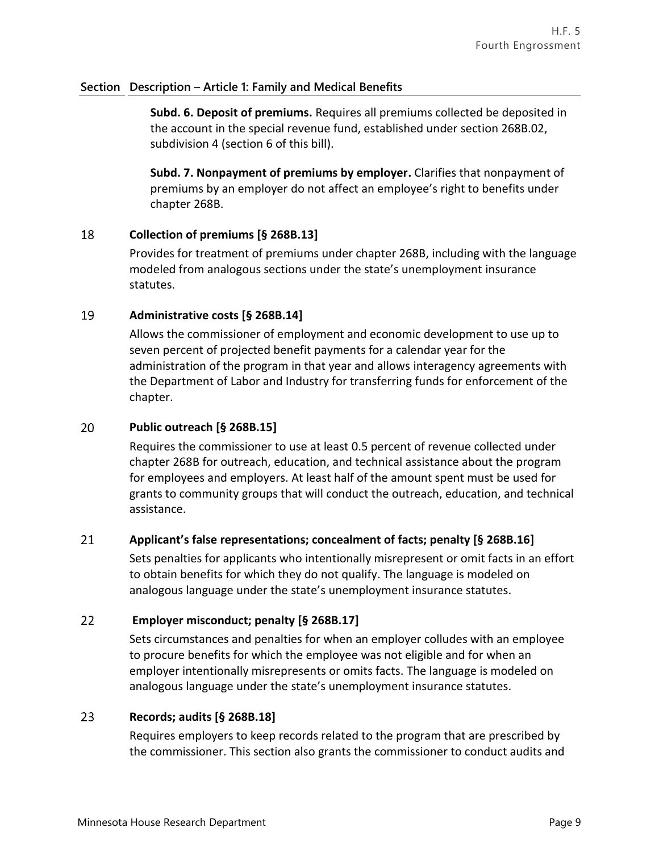**Subd. 6. Deposit of premiums.** Requires all premiums collected be deposited in the account in the special revenue fund, established under section 268B.02, subdivision 4 (section 6 of this bill).

**Subd. 7. Nonpayment of premiums by employer.** Clarifies that nonpayment of premiums by an employer do not affect an employee's right to benefits under chapter 268B.

#### 18 **Collection of premiums [§ 268B.13]**

Provides for treatment of premiums under chapter 268B, including with the language modeled from analogous sections under the state's unemployment insurance statutes.

#### 19 **Administrative costs [§ 268B.14]**

Allows the commissioner of employment and economic development to use up to seven percent of projected benefit payments for a calendar year for the administration of the program in that year and allows interagency agreements with the Department of Labor and Industry for transferring funds for enforcement of the chapter.

#### 20 **Public outreach [§ 268B.15]**

Requires the commissioner to use at least 0.5 percent of revenue collected under chapter 268B for outreach, education, and technical assistance about the program for employees and employers. At least half of the amount spent must be used for grants to community groups that will conduct the outreach, education, and technical assistance.

#### 21 **Applicant's false representations; concealment of facts; penalty [§ 268B.16]**

Sets penalties for applicants who intentionally misrepresent or omit facts in an effort to obtain benefits for which they do not qualify. The language is modeled on analogous language under the state's unemployment insurance statutes.

#### 22 **Employer misconduct; penalty [§ 268B.17]**

Sets circumstances and penalties for when an employer colludes with an employee to procure benefits for which the employee was not eligible and for when an employer intentionally misrepresents or omits facts. The language is modeled on analogous language under the state's unemployment insurance statutes.

#### 23 **Records; audits [§ 268B.18]**

Requires employers to keep records related to the program that are prescribed by the commissioner. This section also grants the commissioner to conduct audits and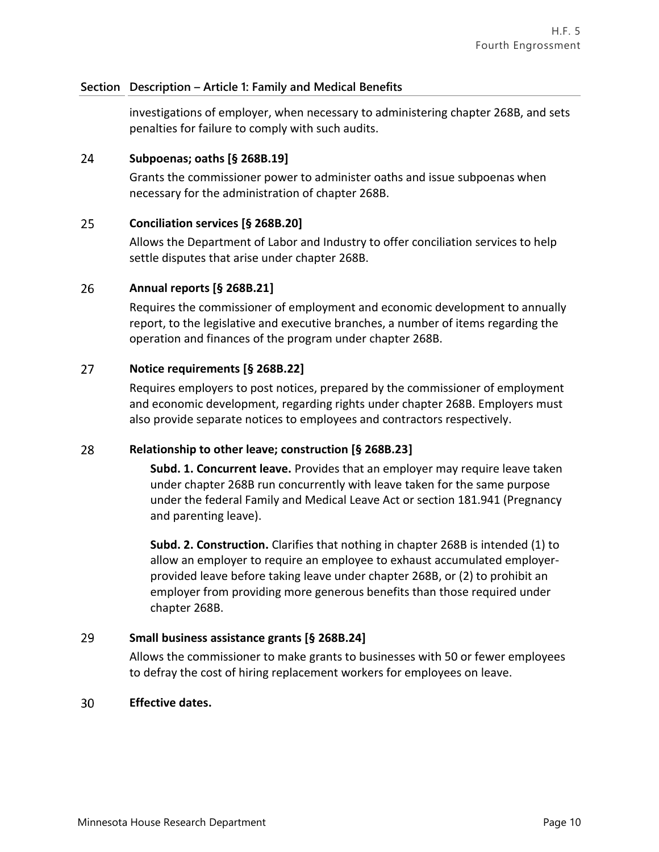investigations of employer, when necessary to administering chapter 268B, and sets penalties for failure to comply with such audits.

#### 24 **Subpoenas; oaths [§ 268B.19]**

Grants the commissioner power to administer oaths and issue subpoenas when necessary for the administration of chapter 268B.

#### 25 **Conciliation services [§ 268B.20]**

Allows the Department of Labor and Industry to offer conciliation services to help settle disputes that arise under chapter 268B.

#### 26 **Annual reports [§ 268B.21]**

Requires the commissioner of employment and economic development to annually report, to the legislative and executive branches, a number of items regarding the operation and finances of the program under chapter 268B.

#### 27 **Notice requirements [§ 268B.22]**

Requires employers to post notices, prepared by the commissioner of employment and economic development, regarding rights under chapter 268B. Employers must also provide separate notices to employees and contractors respectively.

#### 28 **Relationship to other leave; construction [§ 268B.23]**

**Subd. 1. Concurrent leave.** Provides that an employer may require leave taken under chapter 268B run concurrently with leave taken for the same purpose under the federal Family and Medical Leave Act or section 181.941 (Pregnancy and parenting leave).

**Subd. 2. Construction.** Clarifies that nothing in chapter 268B is intended (1) to allow an employer to require an employee to exhaust accumulated employerprovided leave before taking leave under chapter 268B, or (2) to prohibit an employer from providing more generous benefits than those required under chapter 268B.

#### 29 **Small business assistance grants [§ 268B.24]**

Allows the commissioner to make grants to businesses with 50 or fewer employees to defray the cost of hiring replacement workers for employees on leave.

#### 30 **Effective dates.**